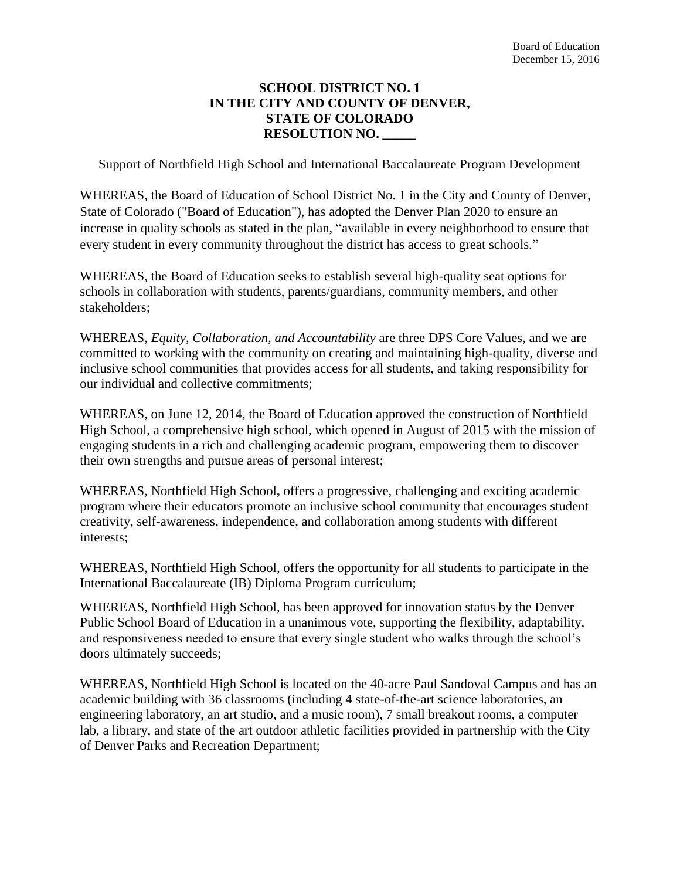## **SCHOOL DISTRICT NO. 1 IN THE CITY AND COUNTY OF DENVER, STATE OF COLORADO RESOLUTION NO. \_\_\_\_\_**

Support of Northfield High School and International Baccalaureate Program Development

WHEREAS, the Board of Education of School District No. 1 in the City and County of Denver, State of Colorado ("Board of Education"), has adopted the Denver Plan 2020 to ensure an increase in quality schools as stated in the plan, "available in every neighborhood to ensure that every student in every community throughout the district has access to great schools."

WHEREAS, the Board of Education seeks to establish several high-quality seat options for schools in collaboration with students, parents/guardians, community members, and other stakeholders;

WHEREAS, *Equity, Collaboration, and Accountability* are three DPS Core Values, and we are committed to working with the community on creating and maintaining high-quality, diverse and inclusive school communities that provides access for all students, and taking responsibility for our individual and collective commitments;

WHEREAS, on June 12, 2014, the Board of Education approved the construction of Northfield High School, a comprehensive high school, which opened in August of 2015 with the mission of engaging students in a rich and challenging academic program, empowering them to discover their own strengths and pursue areas of personal interest;

WHEREAS, Northfield High School**,** offers a progressive, challenging and exciting academic program where their educators promote an inclusive school community that encourages student creativity, self-awareness, independence, and collaboration among students with different interests;

WHEREAS, Northfield High School, offers the opportunity for all students to participate in the International Baccalaureate (IB) Diploma Program curriculum;

WHEREAS, Northfield High School, has been approved for innovation status by the Denver Public School Board of Education in a unanimous vote, supporting the flexibility, adaptability, and responsiveness needed to ensure that every single student who walks through the school's doors ultimately succeeds;

WHEREAS, Northfield High School is located on the 40-acre Paul Sandoval Campus and has an academic building with 36 classrooms (including 4 state-of-the-art science laboratories, an engineering laboratory, an art studio, and a music room), 7 small breakout rooms, a computer lab, a library, and state of the art outdoor athletic facilities provided in partnership with the City of Denver Parks and Recreation Department;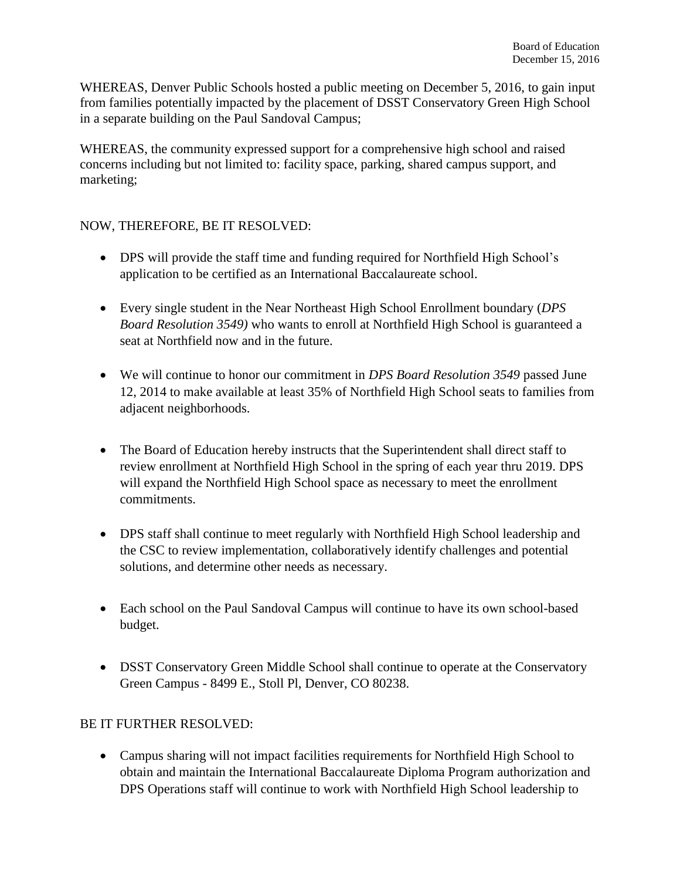WHEREAS, Denver Public Schools hosted a public meeting on December 5, 2016, to gain input from families potentially impacted by the placement of DSST Conservatory Green High School in a separate building on the Paul Sandoval Campus;

WHEREAS, the community expressed support for a comprehensive high school and raised concerns including but not limited to: facility space, parking, shared campus support, and marketing;

## NOW, THEREFORE, BE IT RESOLVED:

- DPS will provide the staff time and funding required for Northfield High School's application to be certified as an International Baccalaureate school.
- Every single student in the Near Northeast High School Enrollment boundary (*DPS Board Resolution 3549)* who wants to enroll at Northfield High School is guaranteed a seat at Northfield now and in the future.
- We will continue to honor our commitment in *DPS Board Resolution 3549* passed June 12, 2014 to make available at least 35% of Northfield High School seats to families from adjacent neighborhoods.
- The Board of Education hereby instructs that the Superintendent shall direct staff to review enrollment at Northfield High School in the spring of each year thru 2019. DPS will expand the Northfield High School space as necessary to meet the enrollment commitments.
- DPS staff shall continue to meet regularly with Northfield High School leadership and the CSC to review implementation, collaboratively identify challenges and potential solutions, and determine other needs as necessary.
- Each school on the Paul Sandoval Campus will continue to have its own school-based budget.
- DSST Conservatory Green Middle School shall continue to operate at the Conservatory Green Campus - 8499 E., Stoll Pl, Denver, CO 80238.

## BE IT FURTHER RESOLVED:

 Campus sharing will not impact facilities requirements for Northfield High School to obtain and maintain the International Baccalaureate Diploma Program authorization and DPS Operations staff will continue to work with Northfield High School leadership to